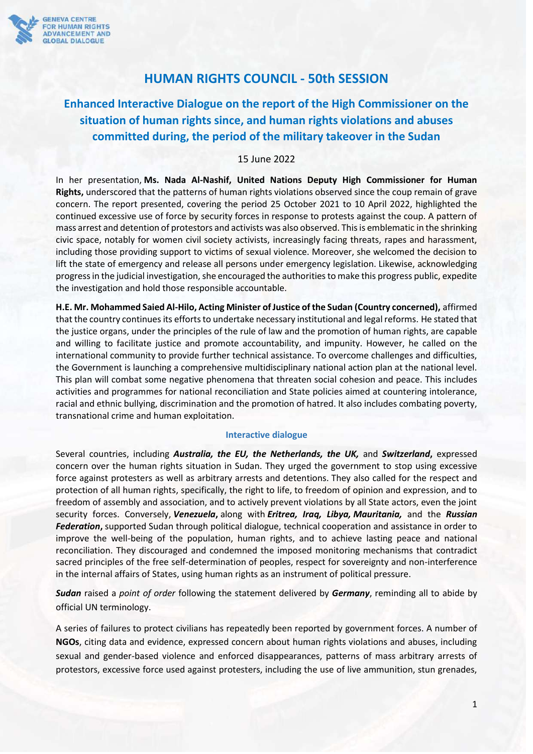

## **HUMAN RIGHTS COUNCIL - 50th SESSION**

# **Enhanced Interactive Dialogue on the report of the High Commissioner on the situation of human rights since, and human rights violations and abuses committed during, the period of the military takeover in the Sudan**

## 15 June 2022

In her presentation, **Ms. Nada Al-Nashif, United Nations Deputy High Commissioner for Human Rights,** underscored that the patterns of human rights violations observed since the coup remain of grave concern. The report presented, covering the period 25 October 2021 to 10 April 2022, highlighted the continued excessive use of force by security forces in response to protests against the coup. A pattern of mass arrest and detention of protestors and activists was also observed. This is emblematic in the shrinking civic space, notably for women civil society activists, increasingly facing threats, rapes and harassment, including those providing support to victims of sexual violence. Moreover, she welcomed the decision to lift the state of emergency and release all persons under emergency legislation. Likewise, acknowledging progress in the judicial investigation, she encouraged the authorities to make this progress public, expedite the investigation and hold those responsible accountable.

**H.E. Mr. Mohammed Saied Al-Hilo, Acting Minister of Justice of the Sudan (Country concerned),** affirmed that the country continues its efforts to undertake necessary institutional and legal reforms. He stated that the justice organs, under the principles of the rule of law and the promotion of human rights, are capable and willing to facilitate justice and promote accountability, and impunity. However, he called on the international community to provide further technical assistance. To overcome challenges and difficulties, the Government is launching a comprehensive multidisciplinary national action plan at the national level. This plan will combat some negative phenomena that threaten social cohesion and peace. This includes activities and programmes for national reconciliation and State policies aimed at countering intolerance, racial and ethnic bullying, discrimination and the promotion of hatred. It also includes combating poverty, transnational crime and human exploitation.

#### **Interactive dialogue**

Several countries, including *Australia, the EU, the Netherlands, the UK,* and *Switzerland***,** expressed concern over the human rights situation in Sudan. They urged the government to stop using excessive force against protesters as well as arbitrary arrests and detentions. They also called for the respect and protection of all human rights, specifically, the right to life, to freedom of opinion and expression, and to freedom of assembly and association, and to actively prevent violations by all State actors, even the joint security forces. Conversely, *Venezuela***,** along with *Eritrea, Iraq, Libya, Mauritania,* and the *Russian Federation***,** supported Sudan through political dialogue, technical cooperation and assistance in order to improve the well-being of the population, human rights, and to achieve lasting peace and national reconciliation. They discouraged and condemned the imposed monitoring mechanisms that contradict sacred principles of the free self-determination of peoples, respect for sovereignty and non-interference in the internal affairs of States, using human rights as an instrument of political pressure.

*Sudan* raised a *point of order* following the statement delivered by *Germany*, reminding all to abide by official UN terminology.

A series of failures to protect civilians has repeatedly been reported by government forces. A number of **NGOs**, citing data and evidence, expressed concern about human rights violations and abuses, including sexual and gender-based violence and enforced disappearances, patterns of mass arbitrary arrests of protestors, excessive force used against protesters, including the use of live ammunition, stun grenades,